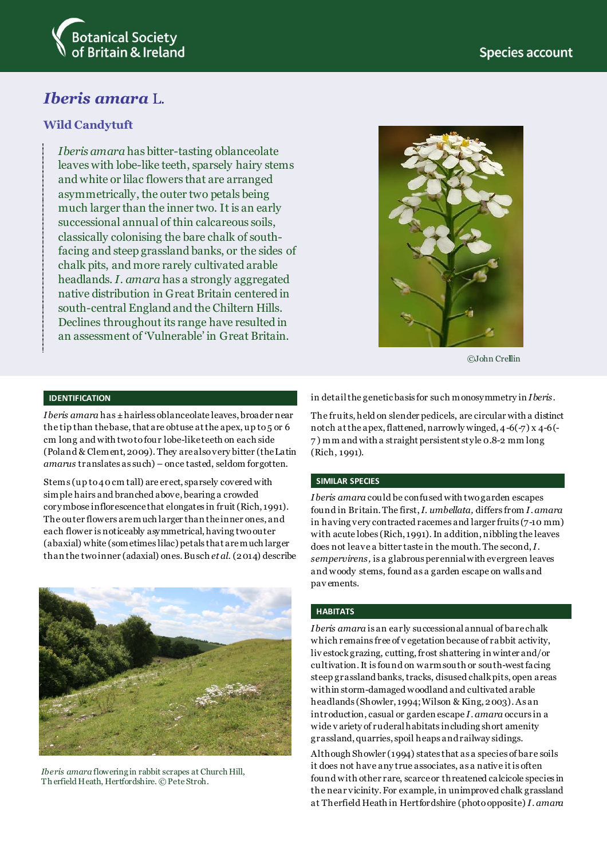

# *Iberis amara* L.

## **Wild Candytuft**

*Iberis amara* has bitter-tasting oblanceolate leaves with lobe-like teeth, sparsely hairy stems and white or lilac flowers that are arranged asymmetrically, the outer two petals being much larger than the inner two. It is an early successional annual of thin calcareous soils, classically colonising the bare chalk of southfacing and steep grassland banks, or the sides of chalk pits, and more rarely cultivated arable headlands. *I. amara* has a strongly aggregated native distribution in Great Britain centered in south-central England and the Chiltern Hills. Declines throughout its range have resulted in an assessment of 'Vulnerable' in Great Britain.



©John Cre**l**lin

#### **IDENTIFICATION**

*Iberis amara* has ±hairless oblanceolate leaves, broader near the tip than the base, that are obtuse at the apex, up to 5 or 6 cm long and with two to four lobe-like teeth on each side (Poland & Clement, 2009). They arealso very bitter (the Latin *amarus* translates as such) – once tasted, seldom forgotten.

Stems (up to 40cm tall) are erect, sparsely covered with simple hairs and branched above, bearing a crowded corymbose inflorescence that elongates in fruit(Rich, 1991). The outer flowers are much larger than the inner ones, and each flower is noticeably asymmetrical, having two outer (abaxial) white (sometimes lilac) petals that are much larger than the two inner (adaxial) ones. Busch *et al*. (2014) describe



*Iberis amara* flowering in rabbit scrapes at Church Hill, Th erfield Heath, Hertfordshire*.* © Pete Stroh.

in detailthe genetic basis for such monosymmetry in *Iberis*.

The fruits, held on slender pedicels, are circular with a distinct notch at the apex, flattened, narrowly winged, 4-6(-7) x 4-6(- 7 ) mm and with a straight persistent style 0.8-2 mm long (Rich, 1991).

#### **SIMILAR SPECIES**

*Iberis amara* could be confused with two garden escapes found in Britain. The first, *I. umbellata,* differs from *I. amara* in having very contracted racemes and larger fruits (7-10 mm) with acute lobes (Rich, 1991). In addition, nibbling the leaves does not leave a bitter taste in the mouth. The second, *I. sempervirens,* is a glabrous perennial with evergreen leaves and woody stems, found as a garden escape on walls and pav ements.

#### **HABITATS**

*Iberis amara* is an early successional annual of bare chalk which remains free of v egetation because of rabbit activity, liv estock grazing, cutting, frost shattering in winter and/or cultivation. It is found on warm south or south-west facing steep grassland banks, tracks, disused chalk pits, open areas within storm-damaged woodland and cultivated arable headlands (Showler, 1994; Wilson & King, 2003). As an introduction, casual or garden escape *I. amara* occurs in a wide v ariety of ruderal habitats including short amenity grassland, quarries, spoil heaps and railway sidings.

Although Showler (1994) states that as a species of bare soils it does not have any true associates, as a native it is often found with other rare, scarce or threatened calcicole species in the near vicinity. For example, in unimproved chalk grassland at Therfield Heath in Hertfordshire (photo opposite) *I. amara*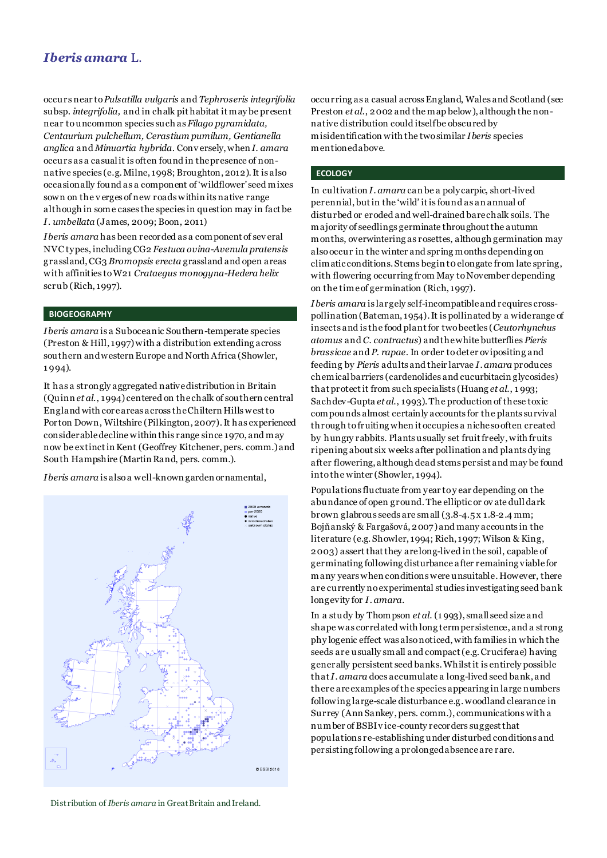## *Iberis amara* L.

occurs near to *Pulsatilla vulgaris* and *Tephroseris integrifolia* subsp. *integrifolia,* and in chalk pit habitat it may be present near to uncommon species such as *Filago pyramidata, Centaurium pulchellum, Cerastium pumilum, Gentianella anglica* and *Minuartia hybrida*. Conv ersely, when *I. amara* occurs as a casual it is often found in the presence of nonnative species (e.g. Milne, 1998; Broughton, 2012). It is also occasionally found as a component of 'wildflower' seed mixes sown on the v erges of new roads within its native range although in some cases the species in question may in fact be *I. umbellata* (James, 2009; Boon, 2011)

*Iberis amara* has been recorded as a component of sev eral NVC types, including CG2 *Festuca ovina-Avenula pratensis* grassland, CG3 *Bromopsis erecta* grassland and open areas with affinities to W21 *Crataegus monogyna-Hedera helix* scrub (Rich, 1997).

#### **BIOGEOGRAPHY**

*Iberis amara* is a Suboceanic Southern-temperate species (Preston & Hill, 1997)with a distribution extending across southern and western Europe and North Africa (Showler, 1 994).

It has a strongly aggregated native distribution in Britain (Quinn *et al*., 1994) centered on the chalk of southern central England with core areas across the Chiltern Hills west to Porton Down, Wiltshire (Pilkington, 2007). It has experienced considerable decline within this range since 1970, and may now be extinct in Kent (Geoffrey Kitchener, pers. comm.)and South Hampshire (Martin Rand, pers. comm.).

*Iberis amara* is also a well-known garden ornamental,



occurring as a casual across England, Wales and Scotland (see Preston *et al*., 2002 and the map below), although the nonnative distribution could itself be obscured by misidentification with the two similar *Iberis* species mentioned above.

#### **ECOLOGY**

In cultivation *I. amara* can be a polycarpic, short-lived perennial, but in the 'wild' it is found as an annual of disturbed or eroded and well-drained bare chalk soils. The majority of seedlings germinate throughout the autumn months, overwintering as rosettes, although germination may alsooccur in the winter and spring months depending on climatic conditions. Stems begin t0 elongate from late spring, with flowering occurring from May to November depending on the time of germination (Rich, 1997).

*Iberis amara* is largely self-incompatible and requires crosspollination (Bateman, 1954). It is pollinated by a wide range of insects and is the food plant for two beetles (*Ceutorhynchus atomus* and *C. contractus*) and the white butterflies *Pieris brassicae* and *P. rapae*. In order to deter ovipositing and feeding by *Pieris* adults and their larvae *I. amara* produces chemical barriers (cardenolides and cucurbitacin glycosides) that protectit from such specialists (Huang *et al*., 1 993; Sachdev-Gupta *et al*., 1993). The production of these toxic compounds almost certainly accounts for the plants survival through to fruiting when it occupies a niche so often created by hungry rabbits. Plants usually set fruit freely, with fruits ripening about six weeks after pollination and plants dying after flowering, although dead stems persist and may be found into the winter (Showler, 1994).

Populations fluctuate from year to y ear depending on the abundance of open ground. The elliptic or ov ate dull dark brown glabrous seeds are small (3.8-4.5 x 1.8-2.4 mm; Bojňanský & Fargašová, 2007) and many accounts in the literature (e.g. Showler, 1994; Rich, 1997; Wilson & King, 2003) assertthat they arelong-lived in the soil, capable of germinating following disturbance after remaining viable for many years when conditions were unsuitable. However, there are currently no experimental studies investigating seed bank longevity for *I. amara*.

In a study by Thompson *et al*. (1 993), small seed size and shape was correlated with long term persistence, and a strong phy logenic effect was also noticed, with families in which the seeds are usually small and compact (e.g. Cruciferae) having generally persistent seed banks. Whilst it is entirely possible that *I. amara* does accumulate a long-lived seed bank, and there are examples of the species appearing in large numbers following large-scale disturbance e.g. woodland clearance in Surrey (Ann Sankey, pers. comm.), communications with a number of BSBI v ice-county recorders suggest that populations re-establishing under disturbed conditions and persisting following a prolonged absence are rare.

Distribution of *Iberis amara* in Great Britain and Ireland.